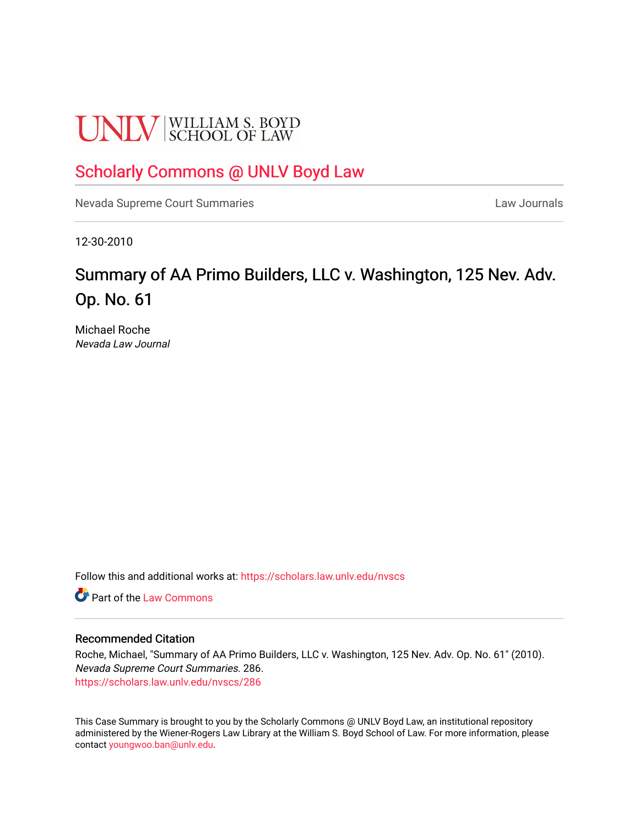# **UNLV** SCHOOL OF LAW

### [Scholarly Commons @ UNLV Boyd Law](https://scholars.law.unlv.edu/)

[Nevada Supreme Court Summaries](https://scholars.law.unlv.edu/nvscs) **Law Journals** Law Journals

12-30-2010

## Summary of AA Primo Builders, LLC v. Washington, 125 Nev. Adv. Op. No. 61

Michael Roche Nevada Law Journal

Follow this and additional works at: [https://scholars.law.unlv.edu/nvscs](https://scholars.law.unlv.edu/nvscs?utm_source=scholars.law.unlv.edu%2Fnvscs%2F286&utm_medium=PDF&utm_campaign=PDFCoverPages)

**C** Part of the [Law Commons](http://network.bepress.com/hgg/discipline/578?utm_source=scholars.law.unlv.edu%2Fnvscs%2F286&utm_medium=PDF&utm_campaign=PDFCoverPages)

#### Recommended Citation

Roche, Michael, "Summary of AA Primo Builders, LLC v. Washington, 125 Nev. Adv. Op. No. 61" (2010). Nevada Supreme Court Summaries. 286. [https://scholars.law.unlv.edu/nvscs/286](https://scholars.law.unlv.edu/nvscs/286?utm_source=scholars.law.unlv.edu%2Fnvscs%2F286&utm_medium=PDF&utm_campaign=PDFCoverPages)

This Case Summary is brought to you by the Scholarly Commons @ UNLV Boyd Law, an institutional repository administered by the Wiener-Rogers Law Library at the William S. Boyd School of Law. For more information, please contact [youngwoo.ban@unlv.edu](mailto:youngwoo.ban@unlv.edu).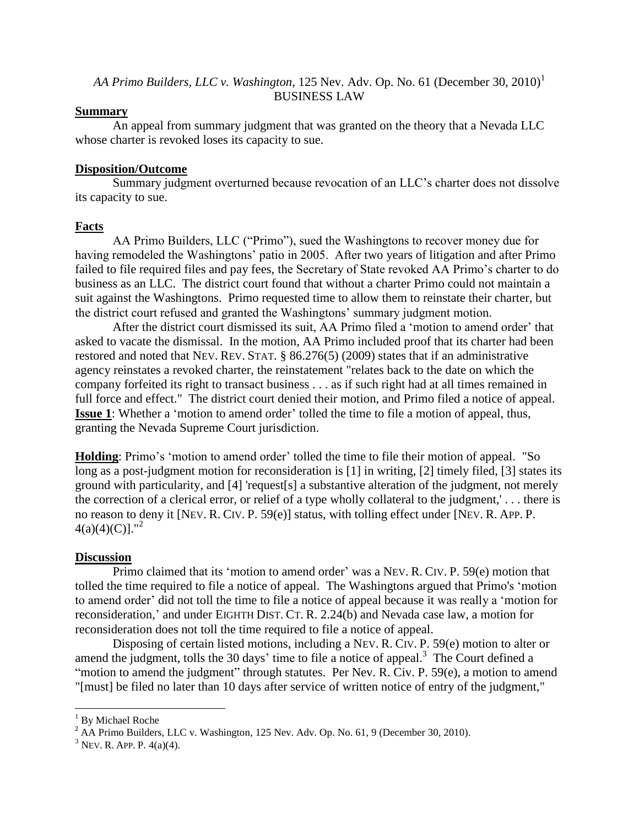#### *AA Primo Builders, LLC v. Washington, 125 Nev. Adv. Op. No. 61 (December 30, 2010)*<sup>1</sup> BUSINESS LAW

#### **Summary**

An appeal from summary judgment that was granted on the theory that a Nevada LLC whose charter is revoked loses its capacity to sue.

#### **Disposition/Outcome**

Summary judgment overturned because revocation of an LLC"s charter does not dissolve its capacity to sue.

#### **Facts**

AA Primo Builders, LLC ("Primo"), sued the Washingtons to recover money due for having remodeled the Washingtons' patio in 2005. After two years of litigation and after Primo failed to file required files and pay fees, the Secretary of State revoked AA Primo's charter to do business as an LLC. The district court found that without a charter Primo could not maintain a suit against the Washingtons. Primo requested time to allow them to reinstate their charter, but the district court refused and granted the Washingtons" summary judgment motion.

After the district court dismissed its suit, AA Primo filed a "motion to amend order" that asked to vacate the dismissal. In the motion, AA Primo included proof that its charter had been restored and noted that NEV. REV. STAT. § 86.276(5) (2009) states that if an administrative agency reinstates a revoked charter, the reinstatement "relates back to the date on which the company forfeited its right to transact business . . . as if such right had at all times remained in full force and effect." The district court denied their motion, and Primo filed a notice of appeal. **Issue 1**: Whether a 'motion to amend order' tolled the time to file a motion of appeal, thus, granting the Nevada Supreme Court jurisdiction.

**Holding**: Primo's 'motion to amend order' tolled the time to file their motion of appeal. "So long as a post-judgment motion for reconsideration is [1] in writing, [2] timely filed, [3] states its ground with particularity, and [4] 'request[s] a substantive alteration of the judgment, not merely the correction of a clerical error, or relief of a type wholly collateral to the judgment,' . . . there is no reason to deny it [NEV. R. CIV. P. 59(e)] status, with tolling effect under [NEV. R. APP. P.  $4(a)(4)(C)$ ]."<sup>2</sup>

#### **Discussion**

Primo claimed that its "motion to amend order" was a NEV. R. CIV. P. 59(e) motion that tolled the time required to file a notice of appeal. The Washingtons argued that Primo's "motion to amend order" did not toll the time to file a notice of appeal because it was really a "motion for reconsideration," and under EIGHTH DIST. CT. R. 2.24(b) and Nevada case law, a motion for reconsideration does not toll the time required to file a notice of appeal.

Disposing of certain listed motions, including a NEV. R. CIV. P. 59(e) motion to alter or amend the judgment, tolls the 30 days' time to file a notice of appeal.<sup>3</sup> The Court defined a "motion to amend the judgment" through statutes. Per Nev. R. Civ. P. 59(e), a motion to amend "[must] be filed no later than 10 days after service of written notice of entry of the judgment,"

 $\overline{\phantom{a}}$ 

<sup>&</sup>lt;sup>1</sup> By Michael Roche

<sup>&</sup>lt;sup>2</sup> AA Primo Builders, LLC v. Washington, 125 Nev. Adv. Op. No. 61, 9 (December 30, 2010).

 $3$  NEV. R. APP. P.  $4(a)(4)$ .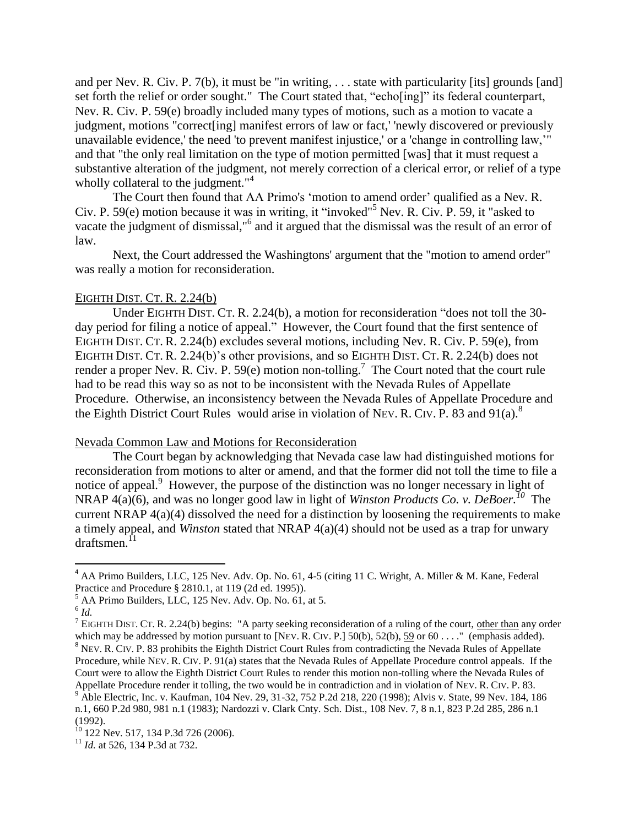and per Nev. R. Civ. P. 7(b), it must be "in writing, . . . state with particularity [its] grounds [and] set forth the relief or order sought." The Court stated that, "echo[ing]" its federal counterpart, Nev. R. Civ. P. 59(e) broadly included many types of motions, such as a motion to vacate a judgment, motions "correct[ing] manifest errors of law or fact,' 'newly discovered or previously unavailable evidence,' the need 'to prevent manifest injustice,' or a 'change in controlling law,"" and that "the only real limitation on the type of motion permitted [was] that it must request a substantive alteration of the judgment, not merely correction of a clerical error, or relief of a type wholly collateral to the judgment."<sup>4</sup>

The Court then found that AA Primo's 'motion to amend order' qualified as a Nev. R. Civ. P. 59(e) motion because it was in writing, it "invoked"<sup>5</sup> Nev. R. Civ. P. 59, it "asked to vacate the judgment of dismissal,"<sup>6</sup> and it argued that the dismissal was the result of an error of law.

Next, the Court addressed the Washingtons' argument that the "motion to amend order" was really a motion for reconsideration.

#### EIGHTH DIST. CT. R. 2.24(b)

Under EIGHTH DIST. CT. R. 2.24(b), a motion for reconsideration "does not toll the 30 day period for filing a notice of appeal." However, the Court found that the first sentence of EIGHTH DIST. CT. R. 2.24(b) excludes several motions, including Nev. R. Civ. P. 59(e), from EIGHTH DIST. CT. R. 2.24(b)'s other provisions, and so EIGHTH DIST. CT. R. 2.24(b) does not render a proper Nev. R. Civ. P. 59 $(e)$  motion non-tolling.<sup>7</sup> The Court noted that the court rule had to be read this way so as not to be inconsistent with the Nevada Rules of Appellate Procedure. Otherwise, an inconsistency between the Nevada Rules of Appellate Procedure and the Eighth District Court Rules would arise in violation of Nev. R. CIV. P. 83 and 91(a).<sup>8</sup>

#### Nevada Common Law and Motions for Reconsideration

The Court began by acknowledging that Nevada case law had distinguished motions for reconsideration from motions to alter or amend, and that the former did not toll the time to file a notice of appeal.<sup>9</sup> However, the purpose of the distinction was no longer necessary in light of NRAP 4(a)(6), and was no longer good law in light of *Winston Products Co. v. DeBoer.*<sup>10</sup> The current NRAP 4(a)(4) dissolved the need for a distinction by loosening the requirements to make a timely appeal, and *Winston* stated that NRAP 4(a)(4) should not be used as a trap for unwary draftsmen. 11

 $\overline{\phantom{a}}$ 

<sup>&</sup>lt;sup>4</sup> AA Primo Builders, LLC, 125 Nev. Adv. Op. No. 61, 4-5 (citing 11 C. Wright, A. Miller & M. Kane, Federal Practice and Procedure § 2810.1, at 119 (2d ed. 1995)).

 $<sup>5</sup>$  AA Primo Builders, LLC, 125 Nev. Adv. Op. No. 61, at 5.</sup>

<sup>6</sup> *Id.*

<sup>&</sup>lt;sup>7</sup> EIGHTH DIST. CT. R. 2.24(b) begins: "A party seeking reconsideration of a ruling of the court, other than any order which may be addressed by motion pursuant to [NEV. R. CIV. P.] 50(b), 52(b), 59 or  $60...$ ." (emphasis added). <sup>8</sup> NEV. R. CIV. P. 83 prohibits the Eighth District Court Rules from contradicting the Nevada Rules of Appellate Procedure, while NEV. R. CIV. P. 91(a) states that the Nevada Rules of Appellate Procedure control appeals. If the Court were to allow the Eighth District Court Rules to render this motion non-tolling where the Nevada Rules of Appellate Procedure render it tolling, the two would be in contradiction and in violation of NEV. R. CIV. P. 83. <sup>9</sup> Able Electric, Inc. v. Kaufman, 104 Nev. 29, 31-32, 752 P.2d 218, 220 (1998); Alvis v. State, 99 Nev. 184, 186

n.1, 660 P.2d 980, 981 n.1 (1983); Nardozzi v. Clark Cnty. Sch. Dist., 108 Nev. 7, 8 n.1, 823 P.2d 285, 286 n.1 (1992).

 $10$  122 Nev. 517, 134 P.3d 726 (2006).

<sup>&</sup>lt;sup>11</sup> *Id.* at 526, 134 P.3d at 732.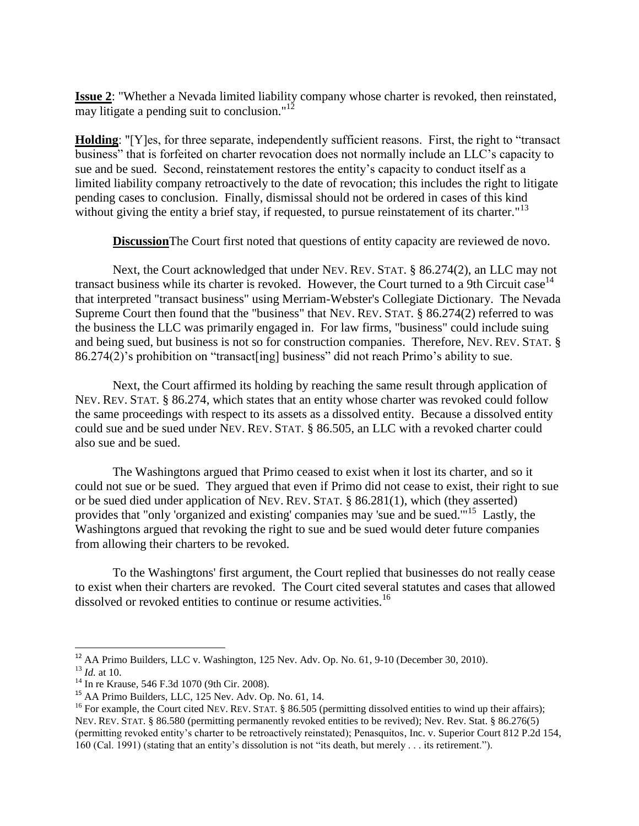**Issue 2**: "Whether a Nevada limited liability company whose charter is revoked, then reinstated,  $\overline{\text{may}}$  litigate a pending suit to conclusion."<sup>12</sup>

**Holding**: "[Y]es, for three separate, independently sufficient reasons. First, the right to "transact business" that is forfeited on charter revocation does not normally include an LLC"s capacity to sue and be sued. Second, reinstatement restores the entity"s capacity to conduct itself as a limited liability company retroactively to the date of revocation; this includes the right to litigate pending cases to conclusion. Finally, dismissal should not be ordered in cases of this kind without giving the entity a brief stay, if requested, to pursue reinstatement of its charter." $^{13}$ 

**Discussion**The Court first noted that questions of entity capacity are reviewed de novo.

Next, the Court acknowledged that under NEV. REV. STAT. § 86.274(2), an LLC may not transact business while its charter is revoked. However, the Court turned to a 9th Circuit case<sup>14</sup> that interpreted "transact business" using Merriam-Webster's Collegiate Dictionary. The Nevada Supreme Court then found that the "business" that NEV. REV. STAT. § 86.274(2) referred to was the business the LLC was primarily engaged in. For law firms, "business" could include suing and being sued, but business is not so for construction companies. Therefore, NEV. REV. STAT. § 86.274(2)"s prohibition on "transact[ing] business" did not reach Primo"s ability to sue.

Next, the Court affirmed its holding by reaching the same result through application of NEV. REV. STAT. § 86.274, which states that an entity whose charter was revoked could follow the same proceedings with respect to its assets as a dissolved entity. Because a dissolved entity could sue and be sued under NEV. REV. STAT. § 86.505, an LLC with a revoked charter could also sue and be sued.

The Washingtons argued that Primo ceased to exist when it lost its charter, and so it could not sue or be sued. They argued that even if Primo did not cease to exist, their right to sue or be sued died under application of NEV. REV. STAT. § 86.281(1), which (they asserted) provides that "only 'organized and existing' companies may 'sue and be sued."<sup>15</sup> Lastly, the Washingtons argued that revoking the right to sue and be sued would deter future companies from allowing their charters to be revoked.

To the Washingtons' first argument, the Court replied that businesses do not really cease to exist when their charters are revoked. The Court cited several statutes and cases that allowed dissolved or revoked entities to continue or resume activities.<sup>16</sup>

l

<sup>&</sup>lt;sup>12</sup> AA Primo Builders, LLC v. Washington, 125 Nev. Adv. Op. No. 61, 9-10 (December 30, 2010).

<sup>13</sup> *Id.* at 10.

<sup>14</sup> In re Krause, 546 F.3d 1070 (9th Cir. 2008).

<sup>15</sup> AA Primo Builders, LLC, 125 Nev. Adv. Op. No. 61, 14.

<sup>&</sup>lt;sup>16</sup> For example, the Court cited NEV. REV. STAT. § 86.505 (permitting dissolved entities to wind up their affairs); NEV. REV. STAT. § 86.580 (permitting permanently revoked entities to be revived); Nev. Rev. Stat. § 86.276(5) (permitting revoked entity"s charter to be retroactively reinstated); Penasquitos, Inc. v. Superior Court 812 P.2d 154, 160 (Cal. 1991) (stating that an entity"s dissolution is not "its death, but merely . . . its retirement.").